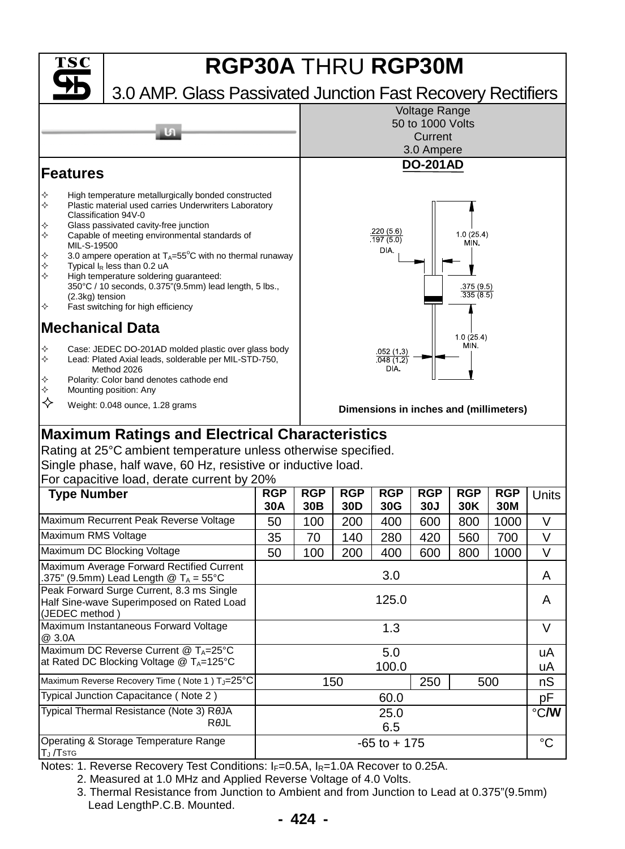

## **Maximum Ratings and Electrical Characteristics**

Rating at 25°C ambient temperature unless otherwise specified. Single phase, half wave, 60 Hz, resistive or inductive load.  $\Gamma$ or capacitive load, derate current by 200/

| For capacitive load, derate current by 20%                                                               |                   |                               |                   |                   |                   |                   |                   |       |
|----------------------------------------------------------------------------------------------------------|-------------------|-------------------------------|-------------------|-------------------|-------------------|-------------------|-------------------|-------|
| <b>Type Number</b>                                                                                       | <b>RGP</b><br>30A | <b>RGP</b><br>30 <sub>B</sub> | <b>RGP</b><br>30D | <b>RGP</b><br>30G | <b>RGP</b><br>30J | <b>RGP</b><br>30K | <b>RGP</b><br>30M | Units |
| Maximum Recurrent Peak Reverse Voltage                                                                   | 50                | 100                           | 200               | 400               | 600               | 800               | 1000              | V     |
| Maximum RMS Voltage                                                                                      | 35                | 70                            | 140               | 280               | 420               | 560               | 700               | V     |
| Maximum DC Blocking Voltage                                                                              | 50                | 100                           | 200               | 400               | 600               | 800               | 1000              | V     |
| Maximum Average Forward Rectified Current<br>.375" (9.5mm) Lead Length @ $T_A = 55^{\circ}$ C            | 3.0               |                               |                   |                   |                   |                   |                   | A     |
| Peak Forward Surge Current, 8.3 ms Single<br>Half Sine-wave Superimposed on Rated Load<br>(JEDEC method) | 125.0             |                               |                   |                   |                   |                   |                   | A     |
| Maximum Instantaneous Forward Voltage<br>@ 3.0A                                                          | 1.3               |                               |                   |                   |                   |                   |                   | V     |
| Maximum DC Reverse Current @ TA=25°C                                                                     | 5.0               |                               |                   |                   |                   |                   |                   | uA    |
| at Rated DC Blocking Voltage $@T_A=125°C$                                                                | 100.0             |                               |                   |                   |                   |                   |                   | uA    |
| Maximum Reverse Recovery Time (Note 1) T <sub>J</sub> =25°C                                              | 150<br>250<br>500 |                               |                   |                   |                   | nS                |                   |       |
| Typical Junction Capacitance (Note 2)                                                                    | 60.0              |                               |                   |                   |                   |                   |                   | pF    |
| Typical Thermal Resistance (Note 3) ROJA                                                                 |                   | 25.0                          |                   |                   |                   |                   |                   |       |
| $R\theta$ JL                                                                                             | 6.5               |                               |                   |                   |                   |                   |                   |       |
| Operating & Storage Temperature Range<br>TJ /Tstg                                                        | $-65$ to $+175$   |                               |                   |                   |                   |                   |                   | °C    |

Notes: 1. Reverse Recovery Test Conditions:  $I_F=0.5A$ ,  $I_R=1.0A$  Recover to 0.25A.

2. Measured at 1.0 MHz and Applied Reverse Voltage of 4.0 Volts.

3. Thermal Resistance from Junction to Ambient and from Junction to Lead at 0.375"(9.5mm) Lead Length P.C.B. Mounted.